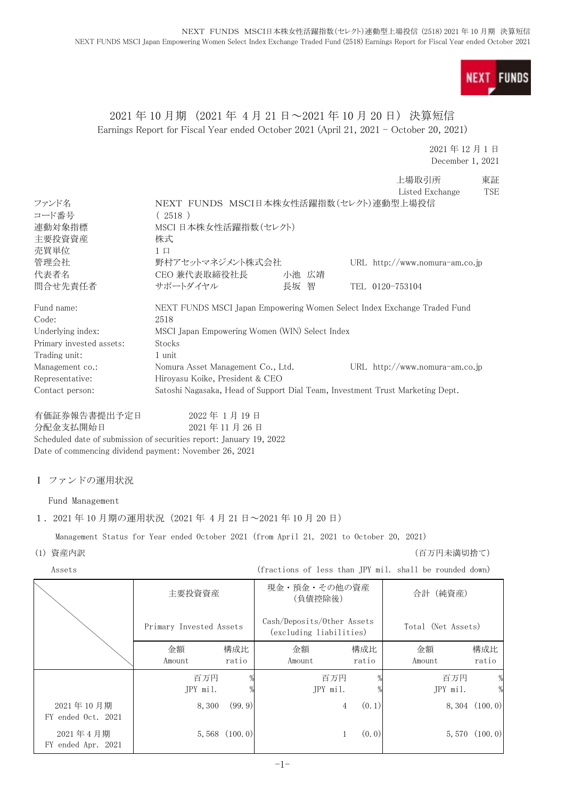

# 2021 年 10 月期 (2021 年 4 月 21 日~2021 年 10 月 20 日) 決算短信 Earnings Report for Fiscal Year ended October 2021 (April 21, 2021 - October 20, 2021)

2021 年 12 月 1 日 December 1, 2021

|                          |                                                                                                                                                            |                                                       | 上場取引所<br>Listed Exchange                                | 東証<br><b>TSE</b> |
|--------------------------|------------------------------------------------------------------------------------------------------------------------------------------------------------|-------------------------------------------------------|---------------------------------------------------------|------------------|
| ファンド名                    | NEXT FUNDS MSCI日本株女性活躍指数(セレクト)連動型上場投信                                                                                                                      |                                                       |                                                         |                  |
| コード番号                    | (2518)                                                                                                                                                     |                                                       |                                                         |                  |
| 連動対象指標                   | MSCI 日本株女性活躍指数(セレクト)                                                                                                                                       |                                                       |                                                         |                  |
| 主要投資資産                   | 株式                                                                                                                                                         |                                                       |                                                         |                  |
| 売買単位                     | $1 \Box$                                                                                                                                                   |                                                       |                                                         |                  |
| 管理会社                     | 野村アセットマネジメント株式会社                                                                                                                                           |                                                       | URL http://www.nomura-am.co.jp                          |                  |
| 代表者名                     | CEO 兼代表取締役社長<br>サポートダイヤル                                                                                                                                   | 小池 広靖                                                 |                                                         |                  |
| 問合せ先責任者                  |                                                                                                                                                            | 長坂 智                                                  | TEL 0120-753104                                         |                  |
| Fund name:<br>Code:      | NEXT FUNDS MSCI Japan Empowering Women Select Index Exchange Traded Fund<br>2518                                                                           |                                                       |                                                         |                  |
| Underlying index:        | MSCI Japan Empowering Women (WIN) Select Index                                                                                                             |                                                       |                                                         |                  |
| Primary invested assets: | Stocks                                                                                                                                                     |                                                       |                                                         |                  |
| Trading unit:            | 1 unit                                                                                                                                                     |                                                       |                                                         |                  |
| Management co.:          | Nomura Asset Management Co., Ltd.                                                                                                                          |                                                       | URL http://www.nomura-am.co.jp                          |                  |
| Representative:          | Hiroyasu Koike, President & CEO                                                                                                                            |                                                       |                                                         |                  |
| Contact person:          | Satoshi Nagasaka, Head of Support Dial Team, Investment Trust Marketing Dept.                                                                              |                                                       |                                                         |                  |
| 有価証券報告書提出予定日<br>分配金支払開始日 | 2022年1月19日<br>2021年11月26日<br>Scheduled date of submission of securities report: January 19, 2022<br>Date of commencing dividend payment: November 26, 2021 |                                                       |                                                         |                  |
| Ⅰ ファンドの運用状況              |                                                                                                                                                            |                                                       |                                                         |                  |
| Fund Management          |                                                                                                                                                            |                                                       |                                                         |                  |
|                          | 1. 2021年10月期の運用状況 (2021年4月21日~2021年10月20日)                                                                                                                 |                                                       |                                                         |                  |
|                          | Management Status for Year ended October 2021 (from April 21, 2021 to October 20, 2021)                                                                    |                                                       |                                                         |                  |
| (1) 資産内訳                 |                                                                                                                                                            |                                                       | (百万円未満切捨て)                                              |                  |
| Assets                   |                                                                                                                                                            |                                                       | (fractions of less than JPY mil. shall be rounded down) |                  |
|                          | 主要投資資産                                                                                                                                                     | 現金・預金・その他の資産<br>(負債控除後)                               | 合計 (純資産)                                                |                  |
|                          | Primary Invested Assets                                                                                                                                    | Cash/Deposits/Other Assets<br>(excluding liabilities) | Total (Net Assets)                                      |                  |
|                          |                                                                                                                                                            |                                                       |                                                         |                  |

|                              |                 |                   | (excluding fiabilities) |              |                 |                   |
|------------------------------|-----------------|-------------------|-------------------------|--------------|-----------------|-------------------|
|                              | 金額<br>Amount    | 構成比<br>ratio      | 金額<br>Amount            | 構成比<br>ratio | 金額<br>Amount    | 構成比<br>ratio      |
|                              | 百万円<br>JPY mil. |                   | 百万円<br>JPY mil.         |              | 百万円<br>JPY mil. | %<br>%            |
| 2021年10月期<br>ended Oct. 2021 | 8,300           | (99.9)            | 4                       | (0.1)        |                 | $8,304$ $(100.0)$ |
| 2021年4月期<br>ended Apr. 2021  |                 | $5,568$ $(100.0)$ |                         | (0, 0)       |                 | 5,570(100.0)      |

 $FY$ 

 ${\rm FY}$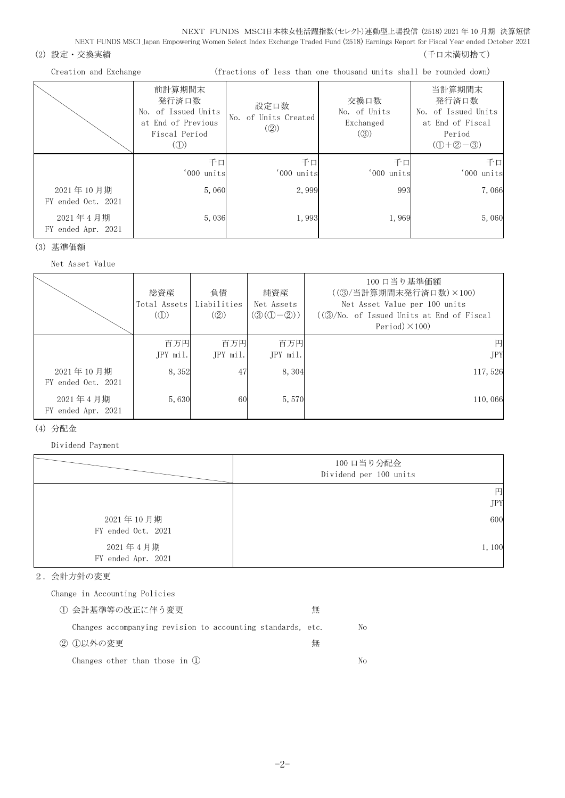# (2) 設定・交換実績 (2) 設定を支援する (1) この この この この この この この この この この この この (千口未満切捨て)

#### Creation and Exchange (fractions of less than one thousand units shall be rounded down)

|                                 | 前計算期間末<br>発行済口数<br>No. of Issued Units<br>at End of Previous<br>Fiscal Period<br>$\left( \textcircled{1}\right)$ | 設定口数<br>No. of Units Created<br>$\left( \circled{2} \right)$ | 交換口数<br>No. of Units<br>Exchanged<br>$\left( \circledS \right)$ | 当計算期間末<br>発行済口数<br>No. of Issued Units<br>at End of Fiscal<br>Period<br>$(D+2-3)$ |
|---------------------------------|------------------------------------------------------------------------------------------------------------------|--------------------------------------------------------------|-----------------------------------------------------------------|-----------------------------------------------------------------------------------|
|                                 | 千口<br>'000 units                                                                                                 | 千口<br>'000 units                                             | 千口<br>'000 units                                                | 千口<br>'000 units                                                                  |
| 2021年10月期<br>FY ended Oct. 2021 | 5,060                                                                                                            | 2,999                                                        | 993                                                             | 7,066                                                                             |
| 2021年4月期<br>FY ended Apr. 2021  | 5,036                                                                                                            | 1,993                                                        | 1,969                                                           | 5,060                                                                             |

#### (3) 基準価額

## Net Asset Value

|                                 | 総資産<br>Total Assets<br>$\mathcal{L}(\mathbb{D})$ | 負債<br>Liabilities<br>(Q) | 純資産<br>Net Assets<br>$(③(①-②))$ | 100 口当り基準価額<br>((3) 当計算期間末発行済口数) ×100)<br>Net Asset Value per 100 units<br>$((\textcircled{3}/\text{No. of } I$ ssued Units at End of Fiscal<br>Period $)\times$ 100) |
|---------------------------------|--------------------------------------------------|--------------------------|---------------------------------|-----------------------------------------------------------------------------------------------------------------------------------------------------------------------|
|                                 | 百万円<br>$JPY$ mil.                                | 百万円<br>$JPY$ mil.        | 百万円<br>JPY mil.                 | 円<br><b>JPY</b>                                                                                                                                                       |
| 2021年10月期<br>FY ended Oct. 2021 | 8,352                                            | 47                       | 8,304                           | 117,526                                                                                                                                                               |
| 2021年4月期<br>FY ended Apr. 2021  | 5,630                                            | 60                       | 5,570                           | 110,066                                                                                                                                                               |

## (4) 分配金

Dividend Payment

|                                 | 100 口当り分配金<br>Dividend per 100 units |
|---------------------------------|--------------------------------------|
|                                 | 円                                    |
|                                 | <b>JPY</b>                           |
| 2021年10月期<br>FY ended Oct. 2021 | 600                                  |
| 2021年4月期<br>FY ended Apr. 2021  | 1,100                                |

## 2.会計方針の変更

Change in Accounting Policies

| ① 会計基準等の改正に伴う変更                                             | 無 |    |
|-------------------------------------------------------------|---|----|
| Changes accompanying revision to accounting standards, etc. |   | No |
| ② ①以外の変更                                                    | 無 |    |
| Changes other than those in $(l)$                           |   | Nο |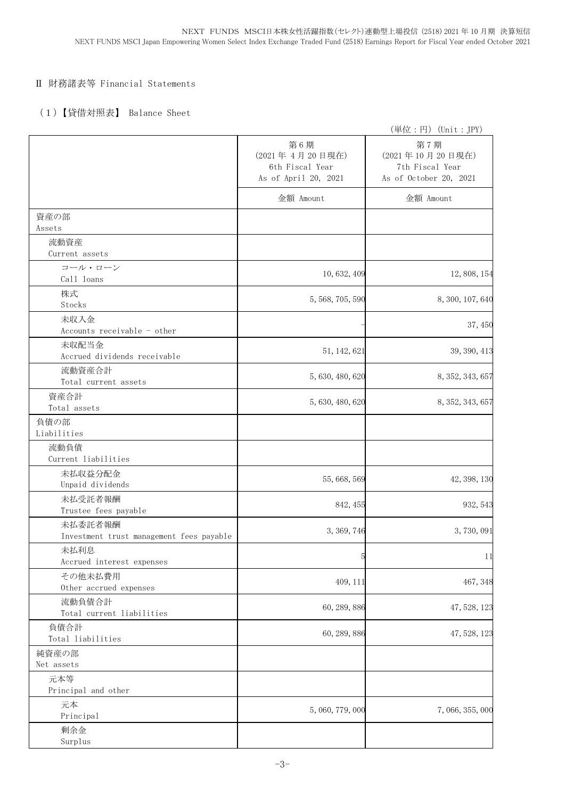# Ⅱ 財務諸表等 Financial Statements

# (1)【貸借対照表】 Balance Sheet

|                                                     |                                                                  | (単位:円) (Unit:JPY)                                                   |
|-----------------------------------------------------|------------------------------------------------------------------|---------------------------------------------------------------------|
|                                                     | 第6期<br>(2021年4月20日現在)<br>6th Fiscal Year<br>As of April 20, 2021 | 第7期<br>(2021年10月20日現在)<br>7th Fiscal Year<br>As of October 20, 2021 |
|                                                     | 金額 Amount                                                        | 金額 Amount                                                           |
| 資産の部<br>Assets                                      |                                                                  |                                                                     |
| 流動資産<br>Current assets                              |                                                                  |                                                                     |
| コール・ローン<br>Call loans                               | 10, 632, 409                                                     | 12, 808, 154                                                        |
| 株式<br>Stocks                                        | 5, 568, 705, 590                                                 | 8, 300, 107, 640                                                    |
| 未収入金<br>Accounts receivable - other                 |                                                                  | 37, 450                                                             |
| 未収配当金<br>Accrued dividends receivable               | 51, 142, 621                                                     | 39, 390, 413                                                        |
| 流動資産合計<br>Total current assets                      | 5, 630, 480, 620                                                 | 8, 352, 343, 657                                                    |
| 資産合計<br>Total assets                                | 5, 630, 480, 620                                                 | 8, 352, 343, 657                                                    |
| 負債の部<br>Liabilities                                 |                                                                  |                                                                     |
| 流動負債<br>Current liabilities                         |                                                                  |                                                                     |
| 未払収益分配金<br>Unpaid dividends                         | 55, 668, 569                                                     | 42, 398, 130                                                        |
| 未払受託者報酬<br>Trustee fees payable                     | 842, 455                                                         | 932, 543                                                            |
| 未払委託者報酬<br>Investment trust management fees payable | 3, 369, 746                                                      | 3,730,091                                                           |
| 未払利息<br>Accrued interest expenses                   | 5                                                                | 11                                                                  |
| その他未払費用<br>Other accrued expenses                   | 409, 111                                                         | 467, 348                                                            |
| 流動負債合計<br>Total current liabilities                 | 60, 289, 886                                                     | 47, 528, 123                                                        |
| 負債合計<br>Total liabilities                           | 60, 289, 886                                                     | 47, 528, 123                                                        |
| 純資産の部<br>Net assets                                 |                                                                  |                                                                     |
| 元本等<br>Principal and other                          |                                                                  |                                                                     |
| 元本<br>Principal                                     | 5, 060, 779, 000                                                 | 7, 066, 355, 000                                                    |
| 剰余金<br>Surplus                                      |                                                                  |                                                                     |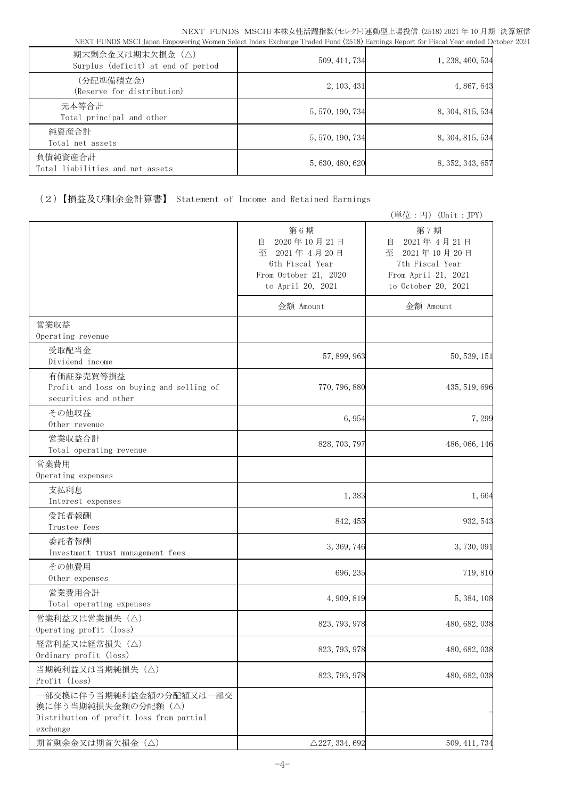| 期末剰余金又は期末欠損金 (△)<br>Surplus (deficit) at end of period | 509, 411, 734    | 1, 238, 460, 534 |
|--------------------------------------------------------|------------------|------------------|
| (分配準備積立金)<br>(Reserve for distribution)                | 2, 103, 431      | 4, 867, 643      |
| 元本等合計<br>Total principal and other                     | 5, 570, 190, 734 | 8, 304, 815, 534 |
| 純資産合計<br>Total net assets                              | 5, 570, 190, 734 | 8, 304, 815, 534 |
| 負債純資産合計<br>Total liabilities and net assets            | 5, 630, 480, 620 | 8, 352, 343, 657 |

(2)【損益及び剰余金計算書】 Statement of Income and Retained Earnings

|                                                                                                        |                                                                                                          | (単位:円) (Unit:JPY)                                                                                        |
|--------------------------------------------------------------------------------------------------------|----------------------------------------------------------------------------------------------------------|----------------------------------------------------------------------------------------------------------|
|                                                                                                        | 第6期<br>2020年10月21日<br>自<br>至 2021年4月20日<br>6th Fiscal Year<br>From October 21, 2020<br>to April 20, 2021 | 第7期<br>2021年4月21日<br>目<br>至 2021年10月20日<br>7th Fiscal Year<br>From April 21, 2021<br>to October 20, 2021 |
|                                                                                                        | 金額 Amount                                                                                                | 金額 Amount                                                                                                |
| 営業収益<br>Operating revenue                                                                              |                                                                                                          |                                                                                                          |
| 受取配当金<br>Dividend income                                                                               | 57, 899, 963                                                                                             | 50, 539, 151                                                                                             |
| 有価証券売買等損益<br>Profit and loss on buying and selling of<br>securities and other                          | 770, 796, 880                                                                                            | 435, 519, 696                                                                                            |
| その他収益<br>Other revenue                                                                                 | 6,954                                                                                                    | 7,299                                                                                                    |
| 営業収益合計<br>Total operating revenue                                                                      | 828, 703, 797                                                                                            | 486, 066, 146                                                                                            |
| 営業費用<br>Operating expenses                                                                             |                                                                                                          |                                                                                                          |
| 支払利息<br>Interest expenses                                                                              | 1,383                                                                                                    | 1,664                                                                                                    |
| 受託者報酬<br>Trustee fees                                                                                  | 842, 455                                                                                                 | 932, 543                                                                                                 |
| 委託者報酬<br>Investment trust management fees                                                              | 3, 369, 746                                                                                              | 3,730,091                                                                                                |
| その他費用<br>Other expenses                                                                                | 696, 235                                                                                                 | 719,810                                                                                                  |
| 営業費用合計<br>Total operating expenses                                                                     | 4, 909, 819                                                                                              | 5, 384, 108                                                                                              |
| 営業利益又は営業損失(△)<br>Operating profit (loss)                                                               | 823, 793, 978                                                                                            | 480, 682, 038                                                                                            |
| 経常利益又は経常損失 (△)<br>Ordinary profit (loss)                                                               | 823, 793, 978                                                                                            | 480, 682, 038                                                                                            |
| 当期純利益又は当期純損失 (△)<br>Profit (loss)                                                                      | 823, 793, 978                                                                                            | 480, 682, 038                                                                                            |
| 一部交換に伴う当期純利益金額の分配額又は一部交<br>換に伴う当期純損失金額の分配額 (△)<br>Distribution of profit loss from partial<br>exchange |                                                                                                          |                                                                                                          |
| 期首剰余金又は期首欠損金(△)                                                                                        | $\triangle$ 227, 334, 692                                                                                | 509, 411, 734                                                                                            |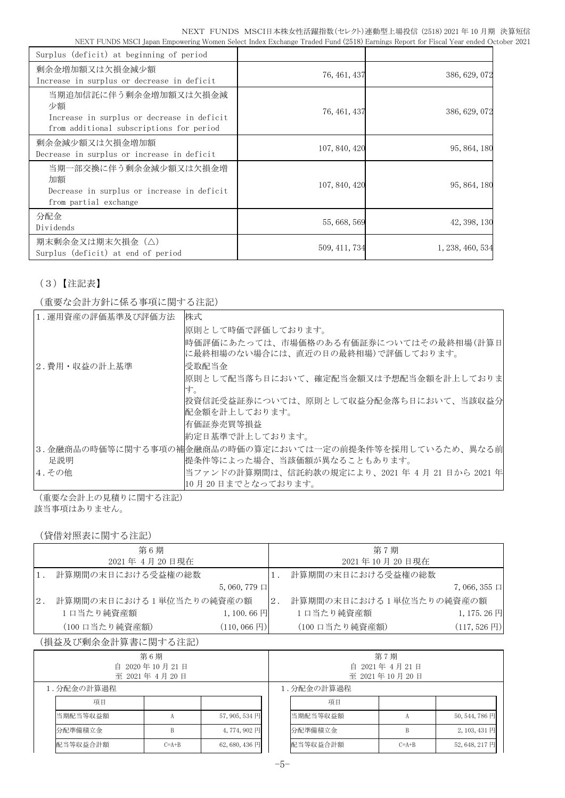| Surplus (deficit) at beginning of period                                                                              |               |                  |
|-----------------------------------------------------------------------------------------------------------------------|---------------|------------------|
| 剰余金増加額又は欠損金減少額<br>Increase in surplus or decrease in deficit                                                          | 76, 461, 437  | 386, 629, 072    |
| 当期追加信託に伴う剰余金増加額又は欠損金減<br>少額<br>Increase in surplus or decrease in deficit<br>from additional subscriptions for period | 76, 461, 437  | 386, 629, 072    |
| 剰余金減少額又は欠損金増加額<br>Decrease in surplus or increase in deficit                                                          | 107, 840, 420 | 95, 864, 180     |
| 当期一部交換に伴う剰余金減少額又は欠損金増<br>加額<br>Decrease in surplus or increase in deficit<br>from partial exchange                    | 107, 840, 420 | 95, 864, 180     |
| 分配金<br>Dividends                                                                                                      | 55, 668, 569  | 42, 398, 130     |
| 期末剰余金又は期末欠損金(△)<br>Surplus (deficit) at end of period                                                                 | 509, 411, 734 | 1, 238, 460, 534 |

# (3)【注記表】

# (重要な会計方針に係る事項に関する注記)

| 1. 運用資産の評価基準及び評価方法 | 株式                                                      |
|--------------------|---------------------------------------------------------|
|                    | 原則として時価で評価しております。                                       |
|                    | 時価評価にあたっては、市場価格のある有価証券についてはその最終相場(計算日                   |
|                    | に最終相場のない場合には、直近の日の最終相場)で評価しております。                       |
| 2.費用・収益の計上基準       | 受取配当金                                                   |
|                    | 原則として配当落ち日において、確定配当金額又は予想配当金額を計上しておりま                   |
|                    | け。                                                      |
|                    | 投資信託受益証券については、原則として収益分配金落ち日において、当該収益分                   |
|                    | 配金額を計上しております。                                           |
|                    | 有価証券売買等損益                                               |
|                    | 約定日基準で計上しております。                                         |
|                    | 3.金融商品の時価等に関する事項の補金融商品の時価の算定においては一定の前提条件等を採用しているため、異なる前 |
| 足説明                | 提条件等によった場合、当該価額が異なることもあります。                             |
| 4.その他              | 当ファンドの計算期間は、信託約款の規定により、2021年4月21日から2021年                |
|                    | 10月20日までとなっております。                                       |

(重要な会計上の見積りに関する注記)

該当事項はありません。

(貸借対照表に関する注記)

|    | 第6期                     |                        |     | 第7期                     |                           |
|----|-------------------------|------------------------|-----|-------------------------|---------------------------|
|    | 2021年 4月20日現在           |                        |     | 2021年10月20日現在           |                           |
|    | 計算期間の末日における受益権の総数       |                        |     | 計算期間の末日における受益権の総数       |                           |
|    |                         | $5,060,779$ $\Box$     |     |                         | $7,066,355 \Box$          |
| 2. | 計算期間の末日における1単位当たりの純資産の額 |                        | 12. | 計算期間の末日における1単位当たりの純資産の額 |                           |
|    | 1口当たり純資産額               | $1,100.66 \; \Box$     |     | 1口当たり純資産額               | $1, 175.26$ 円             |
|    | (100 口当たり純資産額)          | $(110, 066 \text{ H})$ |     | (100 口当たり純資産額)          | $(117, 526 \,\mathrm{F})$ |

## (損益及び剰余金計算書に関する注記)

| 第6期<br>自 2020年10月21日<br>至 2021年 4月 20日 |            |         |                |            | 第7期<br>自 2021年4月21日<br>至 2021年10月20日 |         |                |
|----------------------------------------|------------|---------|----------------|------------|--------------------------------------|---------|----------------|
|                                        | 1.分配金の計算過程 |         |                | 1.分配金の計算過程 |                                      |         |                |
|                                        | 項目         |         |                |            | 項目                                   |         |                |
|                                        | 当期配当等収益額   |         | $57,905,534$ 円 |            | 当期配当等収益額                             |         | 50, 544, 786 円 |
|                                        | 分配準備積立金    |         | 4,774,902円     |            | 分配準備積立金                              |         | 2, 103, 431 円  |
|                                        | 配当等収益合計額   | $C=A+B$ | $62,680,436$ 円 |            | 配当等収益合計額                             | $C=A+B$ | 52, 648, 217 円 |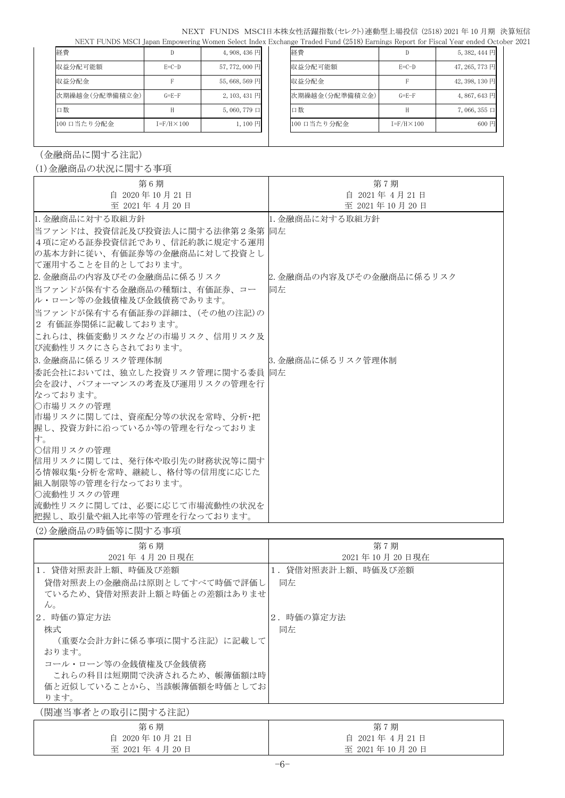| 経費             | IJ                   | $4,908,436 \overline{\mathrm{H}}$ | 経費             |                      | $5,382,444$ 円       |
|----------------|----------------------|-----------------------------------|----------------|----------------------|---------------------|
| 収益分配可能額        | $E=C-D$              | 57,772,000円                       | 収益分配可能額        | $E=C-D$              | 47, 265, 773 円      |
| 収益分配金          |                      | 55,668,569円                       | 収益分配金          |                      | 42, 398, 130 円      |
| 次期繰越金(分配準備積立金) | $G = E - F$          | 2, 103, 431 円                     | 次期繰越金(分配準備積立金) | $G = E - F$          | 4,867,643円          |
| 口数             |                      | $5,060,779 \Box$                  | 口数             |                      | $7,066,355 \square$ |
| 100 口当たり分配金    | $I = F/H \times 100$ | $1,100$ 円                         | 100 口当たり分配金    | $I = F/H \times 100$ | 600円                |
|                |                      |                                   |                |                      |                     |

(金融商品に関する注記)

# (1)金融商品の状況に関する事項

| 第6期                          | 第7期                     |
|------------------------------|-------------------------|
| 自 2020年10月21日                | 自 2021年 4月21日           |
| 至 2021年 4月 20日               | 至 2021年10月20日           |
| 1. 金融商品に対する取組方針              | 1. 金融商品に対する取組方針         |
| 当ファンドは、投資信託及び投資法人に関する法律第2条第  | 同左                      |
| 4項に定める証券投資信託であり、信託約款に規定する運用  |                         |
| の基本方針に従い、有価証券等の金融商品に対して投資とし  |                         |
| に運用することを目的としております。           |                         |
| 2. 金融商品の内容及びその金融商品に係るリスク     | 2.金融商品の内容及びその金融商品に係るリスク |
| 当ファンドが保有する金融商品の種類は、有価証券、コー   | 同左                      |
| ル・ローン等の金銭債権及び金銭債務であります。      |                         |
| 当ファンドが保有する有価証券の詳細は、(その他の注記)の |                         |
| 2 有価証券関係に記載しております。           |                         |
| これらは、株価変動リスクなどの市場リスク、信用リスク及  |                         |
| び流動性リスクにさらされております。           |                         |
| 3. 金融商品に係るリスク管理体制            | 3. 金融商品に係るリスク管理体制       |
| 委託会社においては、独立した投資リスク管理に関する委員  | 同左                      |
| 会を設け、パフォーマンスの考査及び運用リスクの管理を行  |                         |
| なっております。                     |                         |
| ○市場リスクの管理                    |                         |
| 市場リスクに関しては、資産配分等の状況を常時、分析・把  |                         |
| 握し、投資方針に沿っているか等の管理を行なっておりま   |                         |
| す。                           |                         |
| ○信用リスクの管理                    |                         |
| 信用リスクに関しては、発行体や取引先の財務状況等に関す  |                         |
| る情報収集・分析を常時、継続し、格付等の信用度に応じた  |                         |
| 組入制限等の管理を行なっております。           |                         |
| ○流動性リスクの管理                   |                         |
| 流動性リスクに関しては、必要に応じて市場流動性の状況を  |                         |
| 把握し、取引量や組入比率等の管理を行なっております。   |                         |

(2)金融商品の時価等に関する事項

| 第6期                        | 第7期               |
|----------------------------|-------------------|
| 2021年 4月 20日現在             | 2021年10月20日現在     |
| 1.貸借対照表計上額、時価及び差額          | 1.貸借対照表計上額、時価及び差額 |
| 貸借対照表上の金融商品は原則としてすべて時価で評価し | 同左                |
| ているため、貸借対照表計上額と時価との差額はありませ |                   |
| $\mathcal{W}_{\alpha}$     |                   |
| 2.時価の算定方法                  | 2.時価の算定方法         |
| 株式                         | 同左                |
| (重要な会計方針に係る事項に関する注記)に記載して  |                   |
| おります。                      |                   |
| コール・ローン等の金銭債権及び金銭債務        |                   |
| これらの科目は短期間で決済されるため、帳簿価額は時  |                   |
| 価と近似していることから、当該帳簿価額を時価としてお |                   |
| ります。                       |                   |
| (関連当事者との取引に関する注記)          |                   |

第 6 期 自 2020 年 10 月 21 日 至 2021 年 4 月 20 日 第 7 期 自 2021 年 4 月 21 日 至 2021 年 10 月 20 日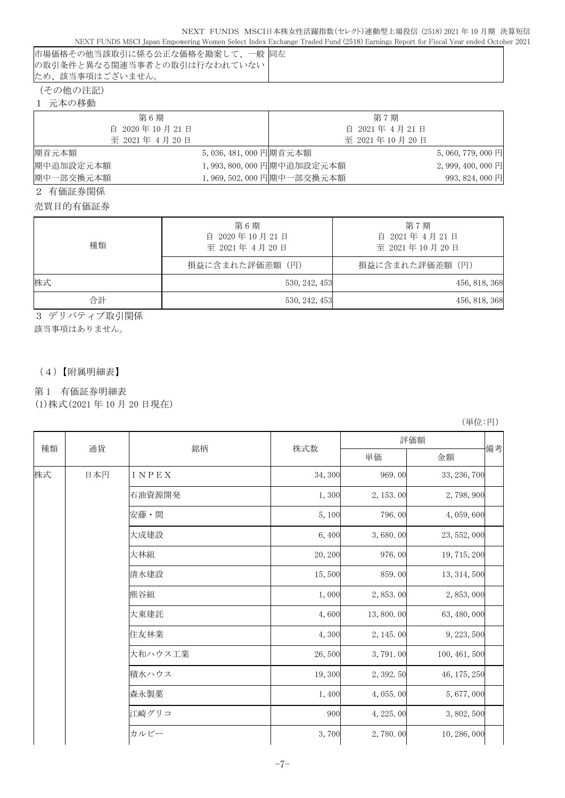|                                | TAEVE L'ONDO MOCI JABAH EMBOMENTA MOMEN DETECT MAGY EXCHANGE TIAGEA L'ANA (2010) EGITMIS REPOLT IOI L'ISCAL LEAL ENGEA OC |
|--------------------------------|---------------------------------------------------------------------------------------------------------------------------|
| 市場価格その他当該取引に係る公正な価格を勘案して、一般 同左 |                                                                                                                           |
| の取引条件と異なる関連当事者との取引は行なわれていない    |                                                                                                                           |
| ため、該当事項はございません。                |                                                                                                                           |
|                                |                                                                                                                           |

(その他の注記)

| 元本の移動 |
|-------|
|       |

| 第6期            |                      |                          | 第7期           |                   |
|----------------|----------------------|--------------------------|---------------|-------------------|
| 自 2020年10月21日  |                      |                          | 自 2021年4月21日  |                   |
| 至 2021年 4月 20日 |                      |                          | 至 2021年10月20日 |                   |
| 期首元本額          | 5,036,481,000 円期首元本額 |                          |               | $5,060,779,000$ 円 |
| 期中追加設定元本額      |                      | 1,993,800,000 円期中追加設定元本額 |               | 2,999,400,000円    |
| 期中一部交換元本額      |                      | 1,969,502,000 円期中一部交換元本額 |               | 993, 824, 000 円   |
|                |                      |                          |               |                   |

2 有価証券関係

売買目的有価証券

| 種類 | 第6期<br>自 2020年10月21日<br>至 2021年 4月 20日<br>損益に含まれた評価差額(円) | 第7期<br>自 2021年 4月21日<br>至 2021年10月20日<br>損益に含まれた評価差額(円) |
|----|----------------------------------------------------------|---------------------------------------------------------|
| 株式 | 530, 242, 453                                            | 456, 818, 368                                           |
| 合計 | 530, 242, 453                                            | 456, 818, 368                                           |

3 デリバティブ取引関係

該当事項はありません。

(4)【附属明細表】

## 第 1 有価証券明細表

(1)株式(2021 年 10 月 20 日現在)

(単位:円)

| 種類<br>株式 |     |         |         | 評価額       |               |    |
|----------|-----|---------|---------|-----------|---------------|----|
|          | 通貨  | 銘柄      | 株式数     | 単価        | 金額            | 備考 |
|          | 日本円 | INPEX   | 34,300  | 969.00    | 33, 236, 700  |    |
|          |     | 石油資源開発  | 1,300   | 2, 153.00 | 2,798,900     |    |
|          |     | 安藤・間    | 5,100   | 796.00    | 4,059,600     |    |
|          |     | 大成建設    | 6,400   | 3,680.00  | 23, 552, 000  |    |
|          |     | 大林組     | 20, 200 | 976.00    | 19, 715, 200  |    |
|          |     | 清水建設    | 15,500  | 859.00    | 13, 314, 500  |    |
|          |     | 熊谷組     | 1,000   | 2,853.00  | 2, 853, 000   |    |
|          |     | 大東建託    | 4,600   | 13,800.00 | 63, 480, 000  |    |
|          |     | 住友林業    | 4,300   | 2, 145.00 | 9, 223, 500   |    |
|          |     | 大和ハウス工業 | 26,500  | 3,791.00  | 100, 461, 500 |    |
|          |     | 積水ハウス   | 19,300  | 2, 392.50 | 46, 175, 250  |    |
|          |     | 森永製菓    | 1,400   | 4,055.00  | 5,677,000     |    |
|          |     | 江崎グリコ   | 900     | 4, 225.00 | 3,802,500     |    |
|          |     | カルビー    | 3,700   | 2,780.00  | 10, 286, 000  |    |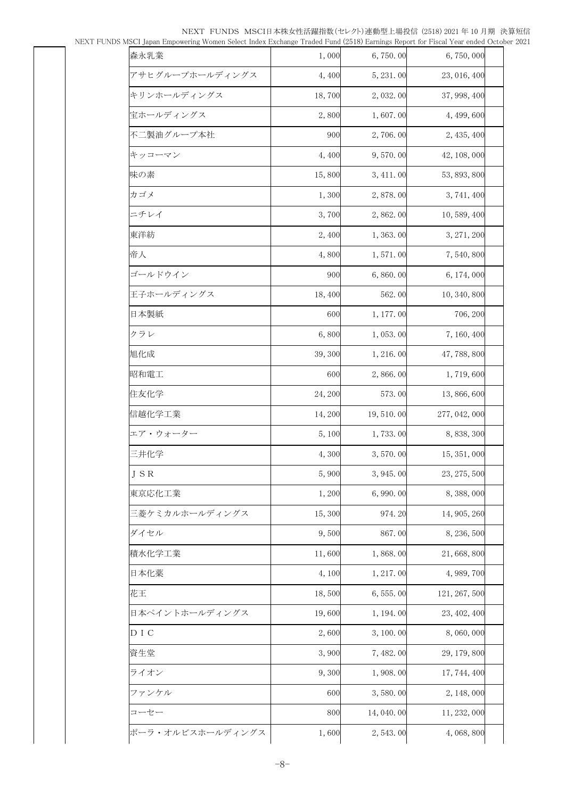| yiser Japan Empowering Women select muex Exchange Traded Pund (2010) Earnings Report for Piscal Teal ended Octoc |         |             |               |  |
|------------------------------------------------------------------------------------------------------------------|---------|-------------|---------------|--|
| 森永乳業                                                                                                             | 1,000   | 6,750.00    | 6,750,000     |  |
| アサヒグループホールディングス                                                                                                  | 4,400   | 5, 231.00   | 23, 016, 400  |  |
| キリンホールディングス                                                                                                      | 18,700  | 2,032.00    | 37, 998, 400  |  |
| 宝ホールディングス                                                                                                        | 2,800   | 1,607.00    | 4, 499, 600   |  |
| 不二製油グループ本社                                                                                                       | 900     | 2,706.00    | 2, 435, 400   |  |
| キッコーマン                                                                                                           | 4,400   | 9,570.00    | 42, 108, 000  |  |
| 味の素                                                                                                              | 15,800  | 3, 411.00   | 53, 893, 800  |  |
| カゴメ                                                                                                              | 1,300   | 2,878.00    | 3, 741, 400   |  |
| ニチレイ                                                                                                             | 3,700   | 2,862.00    | 10, 589, 400  |  |
| 東洋紡                                                                                                              | 2,400   | 1,363.00    | 3, 271, 200   |  |
| 帝人                                                                                                               | 4,800   | 1,571.00    | 7,540,800     |  |
| ゴールドウイン                                                                                                          | 900     | 6,860.00    | 6, 174, 000   |  |
| 王子ホールディングス                                                                                                       | 18,400  | 562.00      | 10, 340, 800  |  |
| 日本製紙                                                                                                             | 600     | 1, 177.00   | 706, 200      |  |
| クラレ                                                                                                              | 6,800   | 1,053.00    | 7, 160, 400   |  |
| 旭化成                                                                                                              | 39,300  | 1, 216.00   | 47, 788, 800  |  |
| 昭和電工                                                                                                             | 600     | 2,866.00    | 1,719,600     |  |
| 住友化学                                                                                                             | 24, 200 | 573.00      | 13, 866, 600  |  |
| 信越化学工業                                                                                                           | 14,200  | 19, 510.00  | 277, 042, 000 |  |
| エア・ウォーター                                                                                                         | 5,100   | 1,733.00    | 8, 838, 300   |  |
| 三井化学                                                                                                             | 4,300   | 3,570.00    | 15, 351, 000  |  |
| JSR                                                                                                              | 5,900   | 3, 945.00   | 23, 275, 500  |  |
| 東京応化工業                                                                                                           | 1,200   | 6,990.00    | 8, 388, 000   |  |
| 三菱ケミカルホールディングス                                                                                                   | 15,300  | 974.20      | 14, 905, 260  |  |
| ダイセル                                                                                                             | 9,500   | 867.00      | 8, 236, 500   |  |
| 積水化学工業                                                                                                           | 11,600  | 1,868.00    | 21,668,800    |  |
| 日本化薬                                                                                                             | 4,100   | 1, 217.00   | 4, 989, 700   |  |
| 花王                                                                                                               | 18,500  | 6, 555.00   | 121, 267, 500 |  |
| 日本ペイントホールディングス                                                                                                   | 19,600  | 1, 194. 00  | 23, 402, 400  |  |
| D I C                                                                                                            | 2,600   | 3, 100.00   | 8,060,000     |  |
| 資生堂                                                                                                              | 3,900   | 7, 482.00   | 29, 179, 800  |  |
| ライオン                                                                                                             | 9,300   | 1,908.00    | 17, 744, 400  |  |
| ファンケル                                                                                                            | 600     | 3,580.00    | 2, 148, 000   |  |
| コーセー                                                                                                             | 800     | 14, 040. 00 | 11, 232, 000  |  |
| ポーラ・オルビスホールディングス                                                                                                 | 1,600   | 2, 543.00   | 4, 068, 800   |  |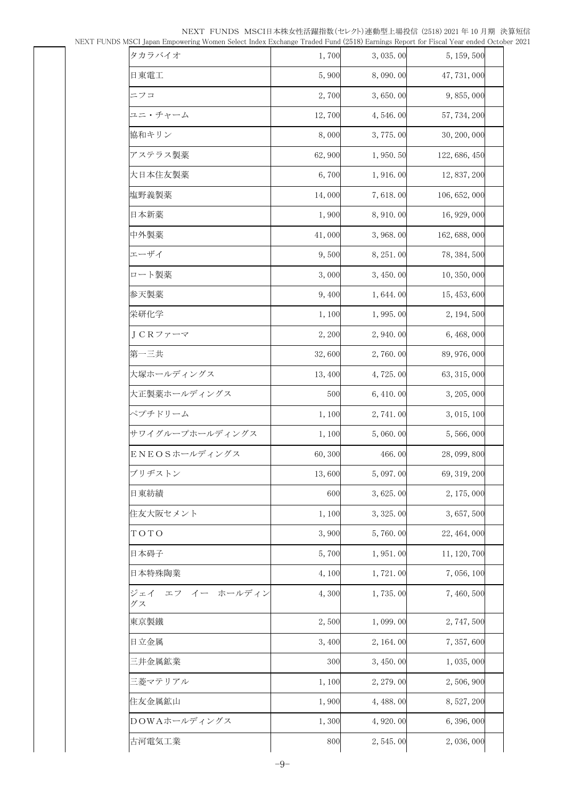| лэст јаран ешроменију иошен зејест шаех ехспануе ттааеа гана (2010) еанштуз керон пог гізсан геаненасо остог |         |            |               |  |
|--------------------------------------------------------------------------------------------------------------|---------|------------|---------------|--|
| タカラバイオ                                                                                                       | 1,700   | 3,035.00   | 5, 159, 500   |  |
| 日東電工                                                                                                         | 5,900   | 8,090.00   | 47, 731, 000  |  |
| ニフコ                                                                                                          | 2,700   | 3,650.00   | 9,855,000     |  |
| ユニ・チャーム                                                                                                      | 12,700  | 4,546.00   | 57, 734, 200  |  |
| 協和キリン                                                                                                        | 8,000   | 3,775.00   | 30, 200, 000  |  |
| アステラス製薬                                                                                                      | 62,900  | 1,950.50   | 122, 686, 450 |  |
| 大日本住友製薬                                                                                                      | 6,700   | 1,916.00   | 12, 837, 200  |  |
| 塩野義製薬                                                                                                        | 14,000  | 7,618.00   | 106, 652, 000 |  |
| 日本新薬                                                                                                         | 1,900   | 8, 910.00  | 16, 929, 000  |  |
| 中外製薬                                                                                                         | 41,000  | 3,968.00   | 162, 688, 000 |  |
| エーザイ                                                                                                         | 9,500   | 8, 251.00  | 78, 384, 500  |  |
| ロート製薬                                                                                                        | 3,000   | 3, 450.00  | 10, 350, 000  |  |
| 参天製薬                                                                                                         | 9,400   | 1,644.00   | 15, 453, 600  |  |
| 栄研化学                                                                                                         | 1,100   | 1,995.00   | 2, 194, 500   |  |
| JCRファーマ                                                                                                      | 2,200   | 2,940.00   | 6, 468, 000   |  |
| 第一三共                                                                                                         | 32,600  | 2,760.00   | 89, 976, 000  |  |
| 大塚ホールディングス                                                                                                   | 13, 400 | 4,725.00   | 63, 315, 000  |  |
| 大正製薬ホールディングス                                                                                                 | 500     | 6, 410.00  | 3, 205, 000   |  |
| ペプチドリーム                                                                                                      | 1,100   | 2, 741.00  | 3, 015, 100   |  |
| サワイグループホールディングス                                                                                              | 1,100   | 5,060.00   | 5,566,000     |  |
| ENEOSホールディングス                                                                                                | 60,300  | 466.00     | 28, 099, 800  |  |
| ブリヂストン                                                                                                       | 13,600  | 5,097.00   | 69, 319, 200  |  |
| 日東紡績                                                                                                         | 600     | 3,625.00   | 2, 175, 000   |  |
| 住友大阪セメント                                                                                                     | 1,100   | 3, 325.00  | 3, 657, 500   |  |
| TOTO                                                                                                         | 3,900   | 5,760.00   | 22, 464, 000  |  |
| 日本碍子                                                                                                         | 5,700   | 1,951.00   | 11, 120, 700  |  |
| 日本特殊陶業                                                                                                       | 4,100   | 1,721.00   | 7,056,100     |  |
| イー ホールディン<br>ジェイ<br>エフ<br>グス                                                                                 | 4,300   | 1,735.00   | 7,460,500     |  |
| 東京製鐵                                                                                                         | 2,500   | 1,099.00   | 2,747,500     |  |
| 日立金属                                                                                                         | 3,400   | 2, 164. 00 | 7, 357, 600   |  |
| 三井金属鉱業                                                                                                       | 300     | 3,450.00   | 1,035,000     |  |
| 三菱マテリアル                                                                                                      | 1,100   | 2, 279.00  | 2,506,900     |  |
| 住友金属鉱山                                                                                                       | 1,900   | 4, 488.00  | 8, 527, 200   |  |
| DOWAホールディングス                                                                                                 | 1,300   | 4, 920.00  | 6, 396, 000   |  |
| 古河電気工業                                                                                                       | 800     | 2,545.00   | 2,036,000     |  |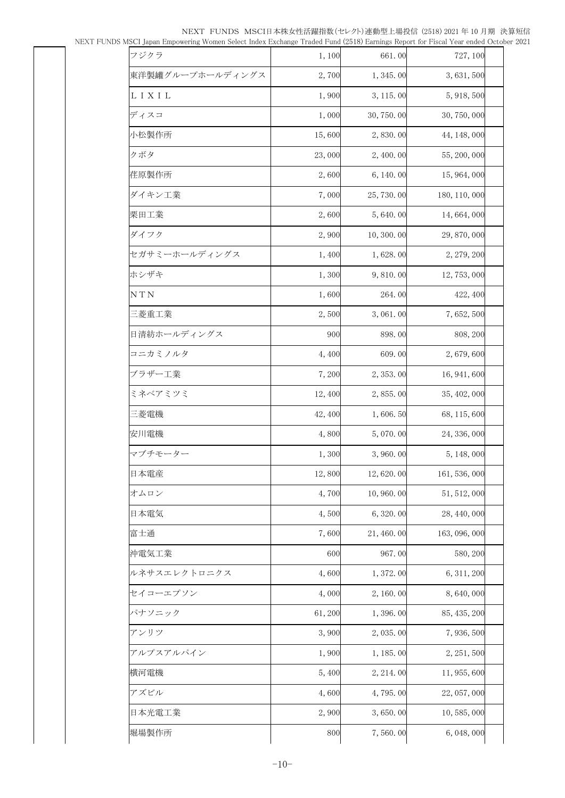| yi5Ci Japan Empowering Women Select muex Exchange Tradeu Punu (2010) Earlings Report for Piscar Fear ended Octobe |         |            |               |  |
|-------------------------------------------------------------------------------------------------------------------|---------|------------|---------------|--|
| フジクラ                                                                                                              | 1,100   | 661.00     | 727, 100      |  |
| 東洋製罐グループホールディングス                                                                                                  | 2,700   | 1, 345.00  | 3, 631, 500   |  |
| L I X I L                                                                                                         | 1,900   | 3, 115.00  | 5, 918, 500   |  |
| ディスコ                                                                                                              | 1,000   | 30, 750.00 | 30, 750, 000  |  |
| 小松製作所                                                                                                             | 15,600  | 2,830.00   | 44, 148, 000  |  |
| クボタ                                                                                                               | 23,000  | 2,400.00   | 55, 200, 000  |  |
| 荏原製作所                                                                                                             | 2,600   | 6, 140.00  | 15, 964, 000  |  |
| ダイキン工業                                                                                                            | 7,000   | 25, 730.00 | 180, 110, 000 |  |
| 栗田工業                                                                                                              | 2,600   | 5,640.00   | 14, 664, 000  |  |
| ダイフク                                                                                                              | 2,900   | 10, 300.00 | 29, 870, 000  |  |
| セガサミーホールディングス                                                                                                     | 1,400   | 1,628.00   | 2, 279, 200   |  |
| ホシザキ                                                                                                              | 1,300   | 9,810.00   | 12, 753, 000  |  |
| N T N                                                                                                             | 1,600   | 264.00     | 422, 400      |  |
| 三菱重工業                                                                                                             | 2,500   | 3,061.00   | 7,652,500     |  |
| 日清紡ホールディングス                                                                                                       | 900     | 898.00     | 808, 200      |  |
| コニカミノルタ                                                                                                           | 4,400   | 609.00     | 2,679,600     |  |
| ブラザー工業                                                                                                            | 7,200   | 2,353.00   | 16, 941, 600  |  |
| ミネベアミツミ                                                                                                           | 12,400  | 2,855.00   | 35, 402, 000  |  |
| 三菱電機                                                                                                              | 42, 400 | 1,606.50   | 68, 115, 600  |  |
| 安川電機                                                                                                              | 4,800   | 5,070.00   | 24, 336, 000  |  |
| マブチモーター                                                                                                           | 1,300   | 3,960.00   | 5, 148, 000   |  |
| 日本電産                                                                                                              | 12,800  | 12,620.00  | 161, 536, 000 |  |
| オムロン                                                                                                              | 4,700   | 10,960.00  | 51, 512, 000  |  |
| 日本電気                                                                                                              | 4,500   | 6,320.00   | 28, 440, 000  |  |
| 富士通                                                                                                               | 7,600   | 21, 460.00 | 163, 096, 000 |  |
| 沖電気工業                                                                                                             | 600     | 967.00     | 580, 200      |  |
| ルネサスエレクトロニクス                                                                                                      | 4,600   | 1,372.00   | 6, 311, 200   |  |
| セイコーエプソン                                                                                                          | 4,000   | 2, 160.00  | 8,640,000     |  |
| パナソニック                                                                                                            | 61,200  | 1,396.00   | 85, 435, 200  |  |
| アンリツ                                                                                                              | 3,900   | 2,035.00   | 7,936,500     |  |
| アルプスアルパイン                                                                                                         | 1,900   | 1, 185.00  | 2, 251, 500   |  |
| 横河電機                                                                                                              | 5,400   | 2, 214.00  | 11, 955, 600  |  |
| アズビル                                                                                                              | 4,600   | 4,795.00   | 22, 057, 000  |  |
| 日本光電工業                                                                                                            | 2,900   | 3,650.00   | 10, 585, 000  |  |
| 堀場製作所                                                                                                             | 800     | 7,560.00   | 6, 048, 000   |  |
|                                                                                                                   |         |            |               |  |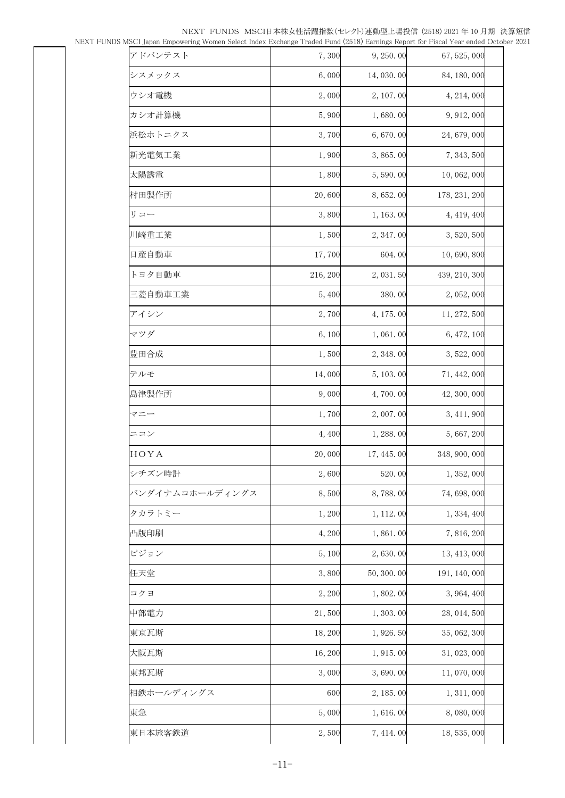| noci japan Linpowernig women belett muex Littiange Traueu i unu (2010) Larinigo Report for Fistal Tear enueu Ottot |          |            |               |  |
|--------------------------------------------------------------------------------------------------------------------|----------|------------|---------------|--|
| アドバンテスト                                                                                                            | 7,300    | 9, 250.00  | 67, 525, 000  |  |
| シスメックス                                                                                                             | 6,000    | 14,030.00  | 84, 180, 000  |  |
| ウシオ電機                                                                                                              | 2,000    | 2, 107.00  | 4, 214, 000   |  |
| カシオ計算機                                                                                                             | 5,900    | 1,680.00   | 9, 912, 000   |  |
| 浜松ホトニクス                                                                                                            | 3,700    | 6,670.00   | 24, 679, 000  |  |
| 新光電気工業                                                                                                             | 1,900    | 3,865.00   | 7, 343, 500   |  |
| 太陽誘電                                                                                                               | 1,800    | 5,590.00   | 10, 062, 000  |  |
| 村田製作所                                                                                                              | 20,600   | 8, 652. 00 | 178, 231, 200 |  |
| リコー                                                                                                                | 3,800    | 1, 163. 00 | 4, 419, 400   |  |
| 川崎重工業                                                                                                              | 1,500    | 2, 347.00  | 3, 520, 500   |  |
| 日産自動車                                                                                                              | 17,700   | 604.00     | 10,690,800    |  |
| トヨタ自動車                                                                                                             | 216, 200 | 2, 031.50  | 439, 210, 300 |  |
| 三菱自動車工業                                                                                                            | 5,400    | 380.00     | 2, 052, 000   |  |
| アイシン                                                                                                               | 2,700    | 4, 175.00  | 11, 272, 500  |  |
| マツダ                                                                                                                | 6,100    | 1,061.00   | 6, 472, 100   |  |
| 豊田合成                                                                                                               | 1,500    | 2, 348.00  | 3, 522, 000   |  |
| テルモ                                                                                                                | 14,000   | 5, 103. 00 | 71, 442, 000  |  |
| 島津製作所                                                                                                              | 9,000    | 4,700.00   | 42, 300, 000  |  |
| マニー                                                                                                                | 1,700    | 2,007.00   | 3, 411, 900   |  |
| ニコン                                                                                                                | 4,400    | 1, 288.00  | 5, 667, 200   |  |
| HOYA                                                                                                               | 20,000   | 17, 445.00 | 348, 900, 000 |  |
| シチズン時計                                                                                                             | 2,600    | 520.00     | 1, 352, 000   |  |
| バンダイナムコホールディングス                                                                                                    | 8,500    | 8,788.00   | 74, 698, 000  |  |
| タカラトミー                                                                                                             | 1,200    | 1, 112.00  | 1, 334, 400   |  |
| 凸版印刷                                                                                                               | 4,200    | 1,861.00   | 7, 816, 200   |  |
| ピジョン                                                                                                               | 5,100    | 2,630.00   | 13, 413, 000  |  |
| 任天堂                                                                                                                | 3,800    | 50, 300.00 | 191, 140, 000 |  |
| コクヨ                                                                                                                | 2,200    | 1,802.00   | 3, 964, 400   |  |
| 中部電力                                                                                                               | 21,500   | 1, 303.00  | 28, 014, 500  |  |
| 東京瓦斯                                                                                                               | 18,200   | 1,926.50   | 35, 062, 300  |  |
| 大阪瓦斯                                                                                                               | 16,200   | 1, 915.00  | 31, 023, 000  |  |
| 東邦瓦斯                                                                                                               | 3,000    | 3,690.00   | 11,070,000    |  |
| 相鉄ホールディングス                                                                                                         | 600      | 2, 185.00  | 1, 311, 000   |  |
| 東急                                                                                                                 | 5,000    | 1,616.00   | 8,080,000     |  |
| 東日本旅客鉄道                                                                                                            | 2,500    | 7, 414.00  | 18, 535, 000  |  |
|                                                                                                                    |          |            |               |  |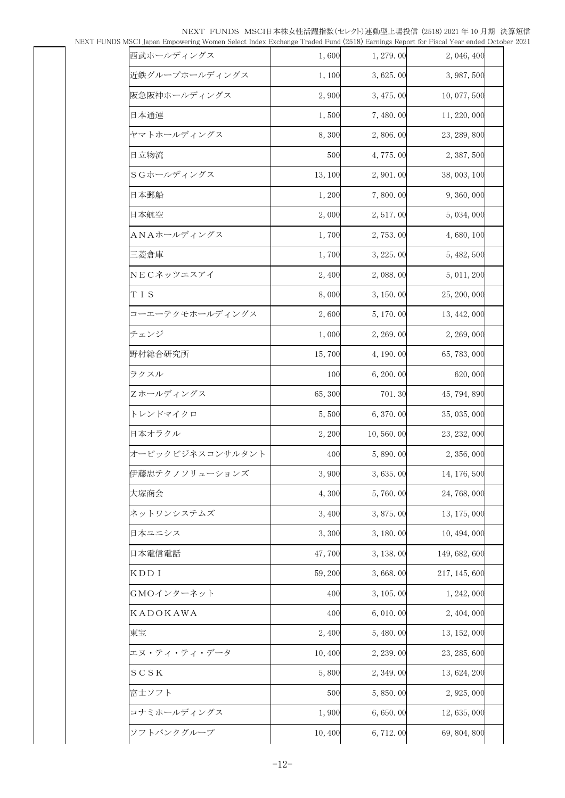|                  |         |            | Japan Empowering Women beleer mack Ekenange Traaca Pana (2010) Earnings Report for Fiscar Fear enaca Oc |  |
|------------------|---------|------------|---------------------------------------------------------------------------------------------------------|--|
| 西武ホールディングス       | 1,600   | 1, 279.00  | 2, 046, 400                                                                                             |  |
| 近鉄グループホールディングス   | 1,100   | 3,625.00   | 3, 987, 500                                                                                             |  |
| 阪急阪神ホールディングス     | 2,900   | 3, 475.00  | 10,077,500                                                                                              |  |
| 日本通運             | 1,500   | 7,480.00   | 11, 220, 000                                                                                            |  |
| ヤマトホールディングス      | 8,300   | 2,806.00   | 23, 289, 800                                                                                            |  |
| 日立物流             | 500     | 4,775.00   | 2, 387, 500                                                                                             |  |
| SGホールディングス       | 13, 100 | 2,901.00   | 38, 003, 100                                                                                            |  |
| 日本郵船             | 1,200   | 7,800.00   | 9,360,000                                                                                               |  |
| 日本航空             | 2,000   | 2, 517.00  | 5, 034, 000                                                                                             |  |
| ANAホールディングス      | 1,700   | 2,753.00   | 4,680,100                                                                                               |  |
| 三菱倉庫             | 1,700   | 3, 225, 00 | 5, 482, 500                                                                                             |  |
| NECネッツエスアイ       | 2,400   | 2,088.00   | 5, 011, 200                                                                                             |  |
| TIS              | 8,000   | 3, 150.00  | 25, 200, 000                                                                                            |  |
| コーエーテクモホールディングス  | 2,600   | 5, 170.00  | 13, 442, 000                                                                                            |  |
| チェンジ             | 1,000   | 2, 269.00  | 2, 269, 000                                                                                             |  |
| 野村総合研究所          | 15,700  | 4, 190. 00 | 65, 783, 000                                                                                            |  |
| ラクスル             | 100     | 6, 200.00  | 620,000                                                                                                 |  |
| Zホールディングス        | 65,300  | 701.30     | 45, 794, 890                                                                                            |  |
| トレンドマイクロ         | 5,500   | 6,370.00   | 35, 035, 000                                                                                            |  |
| 日本オラクル           | 2, 200  | 10,560.00  | 23, 232, 000                                                                                            |  |
| オービックビジネスコンサルタント | 400     | 5,890.00   | 2, 356, 000                                                                                             |  |
| 伊藤忠テクノソリューションズ   | 3,900   | 3,635.00   | 14, 176, 500                                                                                            |  |
| 大塚商会             | 4,300   | 5,760.00   | 24, 768, 000                                                                                            |  |
| ネットワンシステムズ       | 3,400   | 3,875.00   | 13, 175, 000                                                                                            |  |
| 日本ユニシス           | 3,300   | 3, 180, 00 | 10, 494, 000                                                                                            |  |
| 日本電信電話           | 47,700  | 3, 138.00  | 149, 682, 600                                                                                           |  |
| KDD I            | 59,200  | 3,668.00   | 217, 145, 600                                                                                           |  |
| GMOインターネット       | 400     | 3, 105.00  | 1, 242, 000                                                                                             |  |
| KADOKAWA         | 400     | 6,010.00   | 2, 404, 000                                                                                             |  |
| 東宝               | 2,400   | 5, 480.00  | 13, 152, 000                                                                                            |  |
| エヌ・ティ・ティ・データ     | 10,400  | 2, 239.00  | 23, 285, 600                                                                                            |  |
| SCSK             | 5,800   | 2, 349.00  | 13, 624, 200                                                                                            |  |
| 富士ソフト            | 500     | 5,850.00   | 2, 925, 000                                                                                             |  |
| コナミホールディングス      | 1,900   | 6,650.00   | 12, 635, 000                                                                                            |  |
| ソフトバンクグループ       | 10,400  | 6, 712.00  | 69, 804, 800                                                                                            |  |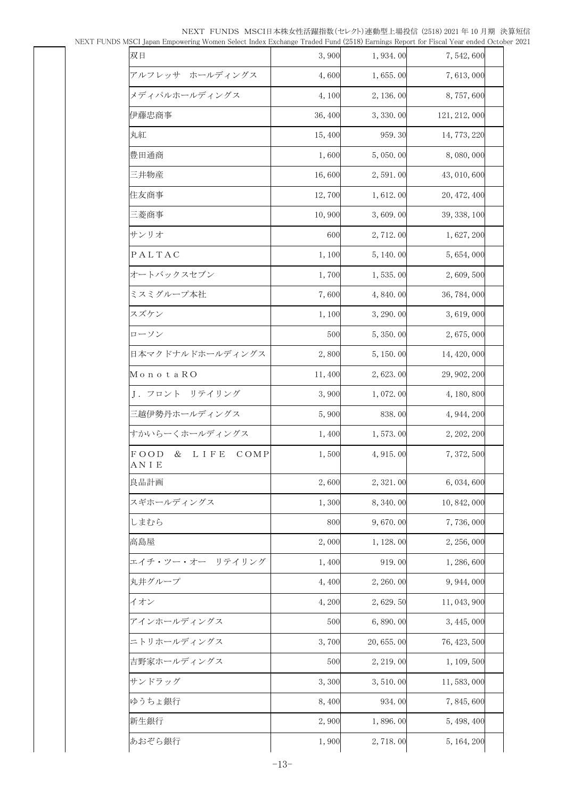| пост јаран Ешроменију ггошен осјест нисл Еленанде "начеч" ини (2010) Еанииз керон пог изсан теаненского |         |            |               |  |
|---------------------------------------------------------------------------------------------------------|---------|------------|---------------|--|
| 双日                                                                                                      | 3,900   | 1,934.00   | 7,542,600     |  |
| アルフレッサ ホールディングス                                                                                         | 4,600   | 1,655.00   | 7, 613, 000   |  |
| メディパルホールディングス                                                                                           | 4,100   | 2, 136.00  | 8,757,600     |  |
| 伊藤忠商事                                                                                                   | 36, 400 | 3, 330.00  | 121, 212, 000 |  |
| 丸紅                                                                                                      | 15,400  | 959.30     | 14, 773, 220  |  |
| 豊田通商                                                                                                    | 1,600   | 5,050.00   | 8,080,000     |  |
| 三井物産                                                                                                    | 16,600  | 2,591.00   | 43, 010, 600  |  |
| 住友商事                                                                                                    | 12,700  | 1,612.00   | 20, 472, 400  |  |
| 三菱商事                                                                                                    | 10,900  | 3,609.00   | 39, 338, 100  |  |
| サンリオ                                                                                                    | 600     | 2, 712.00  | 1, 627, 200   |  |
| PALTAC                                                                                                  | 1,100   | 5, 140.00  | 5, 654, 000   |  |
| オートバックスセブン                                                                                              | 1,700   | 1,535.00   | 2,609,500     |  |
| ミスミグループ本社                                                                                               | 7,600   | 4,840.00   | 36, 784, 000  |  |
| スズケン                                                                                                    | 1,100   | 3, 290.00  | 3, 619, 000   |  |
| ローソン                                                                                                    | 500     | 5, 350.00  | 2,675,000     |  |
| 日本マクドナルドホールディングス                                                                                        | 2,800   | 5, 150.00  | 14, 420, 000  |  |
| MonotaRO                                                                                                | 11,400  | 2,623.00   | 29, 902, 200  |  |
| J. フロント リテイリング                                                                                          | 3,900   | 1,072.00   | 4, 180, 800   |  |
| 三越伊勢丹ホールディングス                                                                                           | 5,900   | 838.00     | 4, 944, 200   |  |
| すかいらーくホールディングス                                                                                          | 1,400   | 1,573.00   | 2, 202, 200   |  |
| FOOD<br>&<br><b>LIFE</b><br>COMP<br>AN I E                                                              | 1,500   | 4, 915.00  | 7, 372, 500   |  |
| 良品計画                                                                                                    | 2,600   | 2, 321.00  | 6, 034, 600   |  |
| スギホールディングス                                                                                              | 1,300   | 8,340.00   | 10, 842, 000  |  |
| しまむら                                                                                                    | 800     | 9,670.00   | 7,736,000     |  |
| 高島屋                                                                                                     | 2,000   | 1, 128.00  | 2, 256, 000   |  |
| エイチ・ツー・オー リテイリング                                                                                        | 1,400   | 919.00     | 1, 286, 600   |  |
| 丸井グループ                                                                                                  | 4,400   | 2, 260.00  | 9, 944, 000   |  |
| イオン                                                                                                     | 4,200   | 2, 629. 50 | 11, 043, 900  |  |
| アインホールディングス                                                                                             | 500     | 6,890.00   | 3, 445, 000   |  |
| ニトリホールディングス                                                                                             | 3,700   | 20,655.00  | 76, 423, 500  |  |
| 吉野家ホールディングス                                                                                             | 500     | 2, 219.00  | 1, 109, 500   |  |
| サンドラッグ                                                                                                  | 3,300   | 3, 510, 00 | 11, 583, 000  |  |
| ゆうちょ銀行                                                                                                  | 8,400   | 934.00     | 7,845,600     |  |
| 新生銀行                                                                                                    | 2,900   | 1,896.00   | 5, 498, 400   |  |
| あおぞら銀行                                                                                                  | 1,900   | 2,718.00   | 5, 164, 200   |  |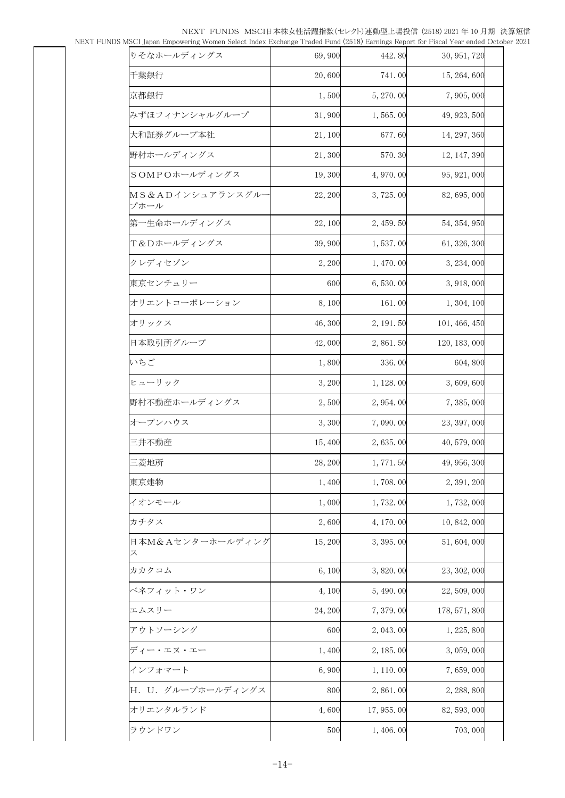| Japan Empowering Women beleve mack Ekenange Traaca Pana (2010) Barmigo Report for Flocal Pear enaca October |         |            |               |  |
|-------------------------------------------------------------------------------------------------------------|---------|------------|---------------|--|
| りそなホールディングス                                                                                                 | 69,900  | 442.80     | 30, 951, 720  |  |
| 千葉銀行                                                                                                        | 20,600  | 741.00     | 15, 264, 600  |  |
| 京都銀行                                                                                                        | 1,500   | 5, 270.00  | 7,905,000     |  |
| みずほフィナンシャルグループ                                                                                              | 31,900  | 1,565.00   | 49, 923, 500  |  |
| 大和証券グループ本社                                                                                                  | 21,100  | 677.60     | 14, 297, 360  |  |
| 野村ホールディングス                                                                                                  | 21,300  | 570.30     | 12, 147, 390  |  |
| SOMPOホールディングス                                                                                               | 19,300  | 4,970.00   | 95, 921, 000  |  |
| MS&ADインシュアランスグルー<br>プホール                                                                                    | 22, 200 | 3,725.00   | 82, 695, 000  |  |
| 第一生命ホールディングス                                                                                                | 22,100  | 2, 459.50  | 54, 354, 950  |  |
| T&Dホールディングス                                                                                                 | 39,900  | 1,537.00   | 61, 326, 300  |  |
| クレディセゾン                                                                                                     | 2, 200  | 1, 470.00  | 3, 234, 000   |  |
| 東京センチュリー                                                                                                    | 600     | 6,530.00   | 3, 918, 000   |  |
| オリエントコーポレーション                                                                                               | 8,100   | 161.00     | 1, 304, 100   |  |
| オリックス                                                                                                       | 46,300  | 2, 191.50  | 101, 466, 450 |  |
| 日本取引所グループ                                                                                                   | 42,000  | 2,861.50   | 120, 183, 000 |  |
| いちご                                                                                                         | 1,800   | 336.00     | 604,800       |  |
| ヒューリック                                                                                                      | 3,200   | 1, 128.00  | 3,609,600     |  |
| 野村不動産ホールディングス                                                                                               | 2,500   | 2,954.00   | 7, 385, 000   |  |
| オープンハウス                                                                                                     | 3,300   | 7,090.00   | 23, 397, 000  |  |
| 三井不動産                                                                                                       | 15,400  | 2,635.00   | 40, 579, 000  |  |
| 三菱地所                                                                                                        | 28, 200 | 1,771.50   | 49, 956, 300  |  |
| 東京建物                                                                                                        | 1,400   | 1,708.00   | 2, 391, 200   |  |
| イオンモール                                                                                                      | 1,000   | 1,732.00   | 1,732,000     |  |
| カチタス                                                                                                        | 2,600   | 4, 170, 00 | 10, 842, 000  |  |
| 日本M&Aセンターホールディング<br>ス                                                                                       | 15,200  | 3, 395.00  | 51, 604, 000  |  |
| カカクコム                                                                                                       | 6,100   | 3,820.00   | 23, 302, 000  |  |
| ベネフィット・ワン                                                                                                   | 4,100   | 5,490.00   | 22, 509, 000  |  |
| エムスリー                                                                                                       | 24, 200 | 7,379.00   | 178, 571, 800 |  |
| アウトソーシング                                                                                                    | 600     | 2, 043.00  | 1, 225, 800   |  |
| ディー・エヌ・エー                                                                                                   | 1,400   | 2, 185.00  | 3, 059, 000   |  |
| インフォマート                                                                                                     | 6,900   | 1, 110.00  | 7,659,000     |  |
| H. U. グループホールディングス                                                                                          | 800     | 2,861.00   | 2, 288, 800   |  |
| オリエンタルランド                                                                                                   | 4,600   | 17,955.00  | 82, 593, 000  |  |
| ラウンドワン                                                                                                      | 500     | 1, 406.00  | 703,000       |  |